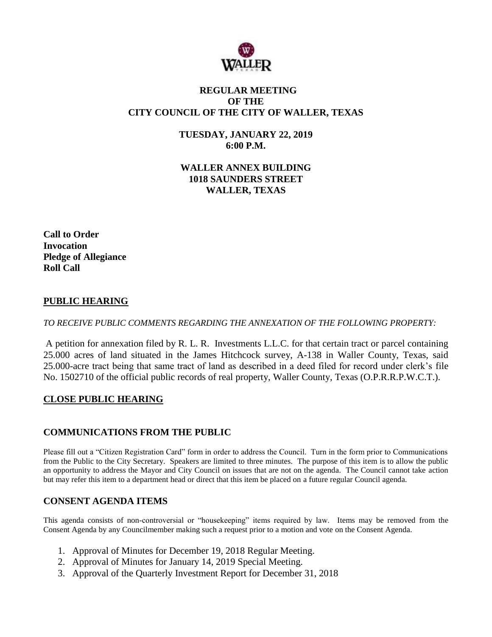

# **REGULAR MEETING OF THE CITY COUNCIL OF THE CITY OF WALLER, TEXAS**

**TUESDAY, JANUARY 22, 2019 6:00 P.M.**

**WALLER ANNEX BUILDING 1018 SAUNDERS STREET WALLER, TEXAS**

**Call to Order Invocation Pledge of Allegiance Roll Call**

### **PUBLIC HEARING**

*TO RECEIVE PUBLIC COMMENTS REGARDING THE ANNEXATION OF THE FOLLOWING PROPERTY:*

A petition for annexation filed by R. L. R. Investments L.L.C. for that certain tract or parcel containing 25.000 acres of land situated in the James Hitchcock survey, A-138 in Waller County, Texas, said 25.000-acre tract being that same tract of land as described in a deed filed for record under clerk's file No. 1502710 of the official public records of real property, Waller County, Texas (O.P.R.R.P.W.C.T.).

### **CLOSE PUBLIC HEARING**

### **COMMUNICATIONS FROM THE PUBLIC**

Please fill out a "Citizen Registration Card" form in order to address the Council. Turn in the form prior to Communications from the Public to the City Secretary. Speakers are limited to three minutes. The purpose of this item is to allow the public an opportunity to address the Mayor and City Council on issues that are not on the agenda. The Council cannot take action but may refer this item to a department head or direct that this item be placed on a future regular Council agenda.

### **CONSENT AGENDA ITEMS**

This agenda consists of non-controversial or "housekeeping" items required by law. Items may be removed from the Consent Agenda by any Councilmember making such a request prior to a motion and vote on the Consent Agenda.

- 1. Approval of Minutes for December 19, 2018 Regular Meeting.
- 2. Approval of Minutes for January 14, 2019 Special Meeting.
- 3. Approval of the Quarterly Investment Report for December 31, 2018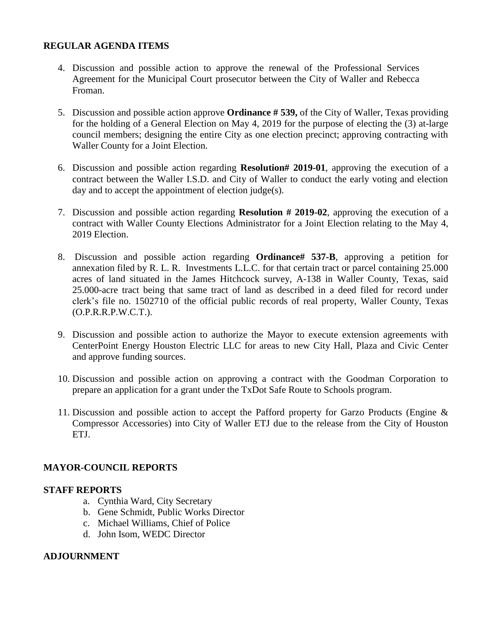## **REGULAR AGENDA ITEMS**

- 4. Discussion and possible action to approve the renewal of the Professional Services Agreement for the Municipal Court prosecutor between the City of Waller and Rebecca Froman.
- 5. Discussion and possible action approve **Ordinance # 539,** of the City of Waller, Texas providing for the holding of a General Election on May 4, 2019 for the purpose of electing the (3) at-large council members; designing the entire City as one election precinct; approving contracting with Waller County for a Joint Election.
- 6. Discussion and possible action regarding **Resolution# 2019-01**, approving the execution of a contract between the Waller I.S.D. and City of Waller to conduct the early voting and election day and to accept the appointment of election judge(s).
- 7. Discussion and possible action regarding **Resolution # 2019-02**, approving the execution of a contract with Waller County Elections Administrator for a Joint Election relating to the May 4, 2019 Election.
- 8. Discussion and possible action regarding **Ordinance# 537-B**, approving a petition for annexation filed by R. L. R. Investments L.L.C. for that certain tract or parcel containing 25.000 acres of land situated in the James Hitchcock survey, A-138 in Waller County, Texas, said 25.000-acre tract being that same tract of land as described in a deed filed for record under clerk's file no. 1502710 of the official public records of real property, Waller County, Texas (O.P.R.R.P.W.C.T.).
- 9. Discussion and possible action to authorize the Mayor to execute extension agreements with CenterPoint Energy Houston Electric LLC for areas to new City Hall, Plaza and Civic Center and approve funding sources.
- 10. Discussion and possible action on approving a contract with the Goodman Corporation to prepare an application for a grant under the TxDot Safe Route to Schools program.
- 11. Discussion and possible action to accept the Pafford property for Garzo Products (Engine & Compressor Accessories) into City of Waller ETJ due to the release from the City of Houston ETJ.

### **MAYOR-COUNCIL REPORTS**

### **STAFF REPORTS**

- a. Cynthia Ward, City Secretary
- b. Gene Schmidt, Public Works Director
- c. Michael Williams, Chief of Police
- d. John Isom, WEDC Director

### **ADJOURNMENT**